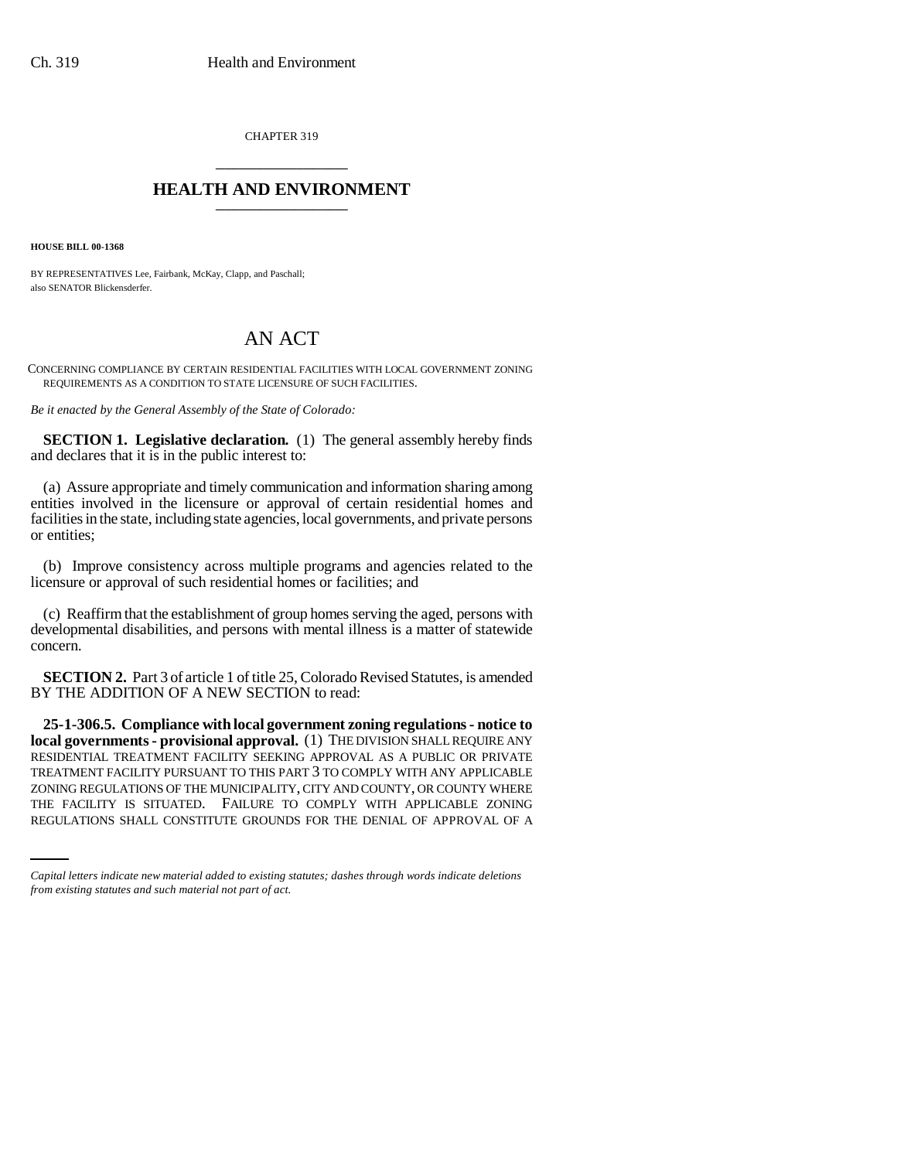CHAPTER 319 \_\_\_\_\_\_\_\_\_\_\_\_\_\_\_

## **HEALTH AND ENVIRONMENT** \_\_\_\_\_\_\_\_\_\_\_\_\_\_\_

**HOUSE BILL 00-1368** 

BY REPRESENTATIVES Lee, Fairbank, McKay, Clapp, and Paschall; also SENATOR Blickensderfer.

## AN ACT

CONCERNING COMPLIANCE BY CERTAIN RESIDENTIAL FACILITIES WITH LOCAL GOVERNMENT ZONING REQUIREMENTS AS A CONDITION TO STATE LICENSURE OF SUCH FACILITIES.

*Be it enacted by the General Assembly of the State of Colorado:*

**SECTION 1. Legislative declaration.** (1) The general assembly hereby finds and declares that it is in the public interest to:

(a) Assure appropriate and timely communication and information sharing among entities involved in the licensure or approval of certain residential homes and facilities in the state, including state agencies, local governments, and private persons or entities;

(b) Improve consistency across multiple programs and agencies related to the licensure or approval of such residential homes or facilities; and

(c) Reaffirm that the establishment of group homes serving the aged, persons with developmental disabilities, and persons with mental illness is a matter of statewide concern.

**SECTION 2.** Part 3 of article 1 of title 25, Colorado Revised Statutes, is amended BY THE ADDITION OF A NEW SECTION to read:

ZONING REGULATIONS OF THE MUNICIPALITY, CITY AND COUNTY, OR COUNTY WHERE **25-1-306.5. Compliance with local government zoning regulations - notice to local governments - provisional approval.** (1) THE DIVISION SHALL REQUIRE ANY RESIDENTIAL TREATMENT FACILITY SEEKING APPROVAL AS A PUBLIC OR PRIVATE TREATMENT FACILITY PURSUANT TO THIS PART 3 TO COMPLY WITH ANY APPLICABLE THE FACILITY IS SITUATED. FAILURE TO COMPLY WITH APPLICABLE ZONING REGULATIONS SHALL CONSTITUTE GROUNDS FOR THE DENIAL OF APPROVAL OF A

*Capital letters indicate new material added to existing statutes; dashes through words indicate deletions from existing statutes and such material not part of act.*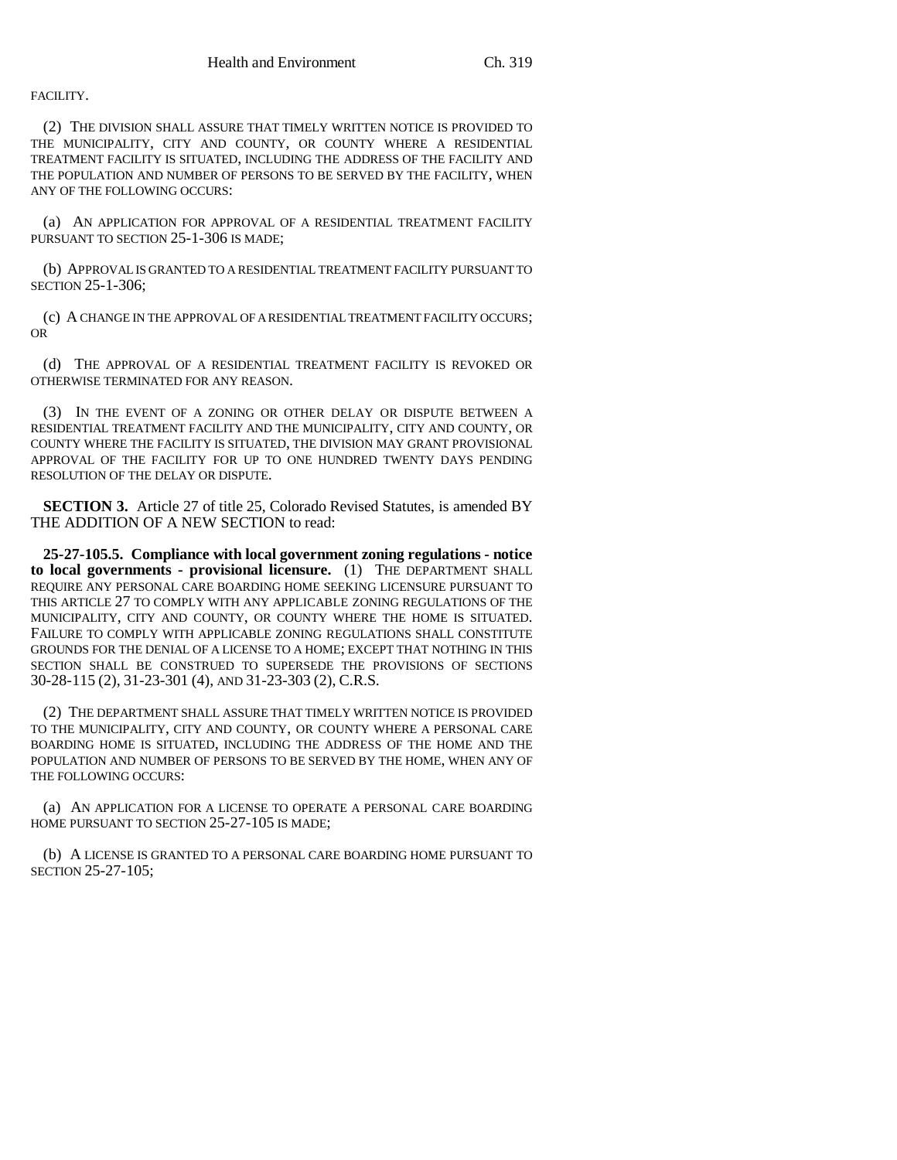FACILITY.

(2) THE DIVISION SHALL ASSURE THAT TIMELY WRITTEN NOTICE IS PROVIDED TO THE MUNICIPALITY, CITY AND COUNTY, OR COUNTY WHERE A RESIDENTIAL TREATMENT FACILITY IS SITUATED, INCLUDING THE ADDRESS OF THE FACILITY AND THE POPULATION AND NUMBER OF PERSONS TO BE SERVED BY THE FACILITY, WHEN ANY OF THE FOLLOWING OCCURS:

(a) AN APPLICATION FOR APPROVAL OF A RESIDENTIAL TREATMENT FACILITY PURSUANT TO SECTION 25-1-306 IS MADE;

(b) APPROVAL IS GRANTED TO A RESIDENTIAL TREATMENT FACILITY PURSUANT TO SECTION 25-1-306;

(c) A CHANGE IN THE APPROVAL OF A RESIDENTIAL TREATMENT FACILITY OCCURS; OR

(d) THE APPROVAL OF A RESIDENTIAL TREATMENT FACILITY IS REVOKED OR OTHERWISE TERMINATED FOR ANY REASON.

(3) IN THE EVENT OF A ZONING OR OTHER DELAY OR DISPUTE BETWEEN A RESIDENTIAL TREATMENT FACILITY AND THE MUNICIPALITY, CITY AND COUNTY, OR COUNTY WHERE THE FACILITY IS SITUATED, THE DIVISION MAY GRANT PROVISIONAL APPROVAL OF THE FACILITY FOR UP TO ONE HUNDRED TWENTY DAYS PENDING RESOLUTION OF THE DELAY OR DISPUTE.

**SECTION 3.** Article 27 of title 25, Colorado Revised Statutes, is amended BY THE ADDITION OF A NEW SECTION to read:

**25-27-105.5. Compliance with local government zoning regulations - notice to local governments - provisional licensure.** (1) THE DEPARTMENT SHALL REQUIRE ANY PERSONAL CARE BOARDING HOME SEEKING LICENSURE PURSUANT TO THIS ARTICLE 27 TO COMPLY WITH ANY APPLICABLE ZONING REGULATIONS OF THE MUNICIPALITY, CITY AND COUNTY, OR COUNTY WHERE THE HOME IS SITUATED. FAILURE TO COMPLY WITH APPLICABLE ZONING REGULATIONS SHALL CONSTITUTE GROUNDS FOR THE DENIAL OF A LICENSE TO A HOME; EXCEPT THAT NOTHING IN THIS SECTION SHALL BE CONSTRUED TO SUPERSEDE THE PROVISIONS OF SECTIONS 30-28-115 (2), 31-23-301 (4), AND 31-23-303 (2), C.R.S.

(2) THE DEPARTMENT SHALL ASSURE THAT TIMELY WRITTEN NOTICE IS PROVIDED TO THE MUNICIPALITY, CITY AND COUNTY, OR COUNTY WHERE A PERSONAL CARE BOARDING HOME IS SITUATED, INCLUDING THE ADDRESS OF THE HOME AND THE POPULATION AND NUMBER OF PERSONS TO BE SERVED BY THE HOME, WHEN ANY OF THE FOLLOWING OCCURS:

(a) AN APPLICATION FOR A LICENSE TO OPERATE A PERSONAL CARE BOARDING HOME PURSUANT TO SECTION 25-27-105 IS MADE;

(b) A LICENSE IS GRANTED TO A PERSONAL CARE BOARDING HOME PURSUANT TO SECTION 25-27-105;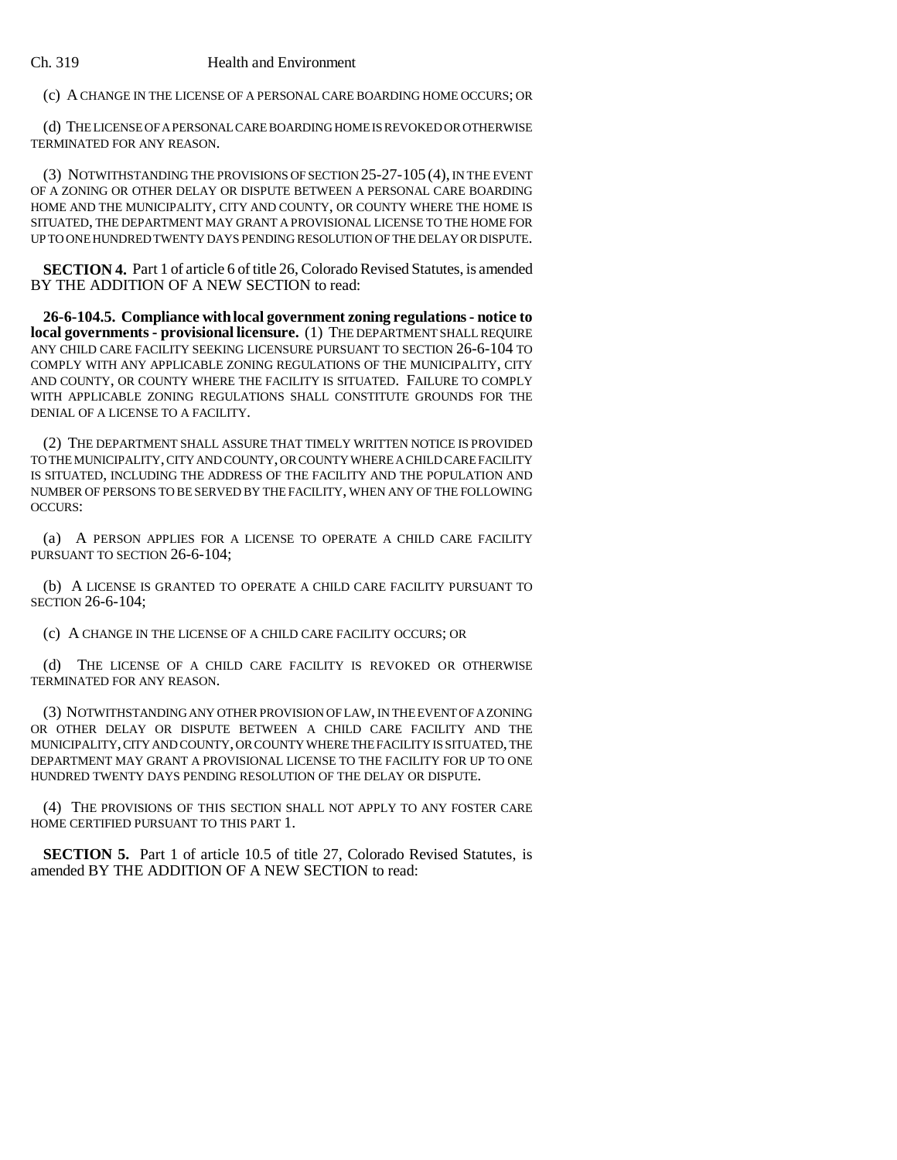## Ch. 319 Health and Environment

(c) A CHANGE IN THE LICENSE OF A PERSONAL CARE BOARDING HOME OCCURS; OR

(d) THE LICENSE OF A PERSONAL CARE BOARDING HOME IS REVOKED OR OTHERWISE TERMINATED FOR ANY REASON.

(3) NOTWITHSTANDING THE PROVISIONS OF SECTION 25-27-105 (4), IN THE EVENT OF A ZONING OR OTHER DELAY OR DISPUTE BETWEEN A PERSONAL CARE BOARDING HOME AND THE MUNICIPALITY, CITY AND COUNTY, OR COUNTY WHERE THE HOME IS SITUATED, THE DEPARTMENT MAY GRANT A PROVISIONAL LICENSE TO THE HOME FOR UP TO ONE HUNDRED TWENTY DAYS PENDING RESOLUTION OF THE DELAY OR DISPUTE.

**SECTION 4.** Part 1 of article 6 of title 26, Colorado Revised Statutes, is amended BY THE ADDITION OF A NEW SECTION to read:

**26-6-104.5. Compliance with local government zoning regulations - notice to local governments - provisional licensure.** (1) THE DEPARTMENT SHALL REQUIRE ANY CHILD CARE FACILITY SEEKING LICENSURE PURSUANT TO SECTION 26-6-104 TO COMPLY WITH ANY APPLICABLE ZONING REGULATIONS OF THE MUNICIPALITY, CITY AND COUNTY, OR COUNTY WHERE THE FACILITY IS SITUATED. FAILURE TO COMPLY WITH APPLICABLE ZONING REGULATIONS SHALL CONSTITUTE GROUNDS FOR THE DENIAL OF A LICENSE TO A FACILITY.

(2) THE DEPARTMENT SHALL ASSURE THAT TIMELY WRITTEN NOTICE IS PROVIDED TO THE MUNICIPALITY, CITY AND COUNTY, OR COUNTY WHERE A CHILD CARE FACILITY IS SITUATED, INCLUDING THE ADDRESS OF THE FACILITY AND THE POPULATION AND NUMBER OF PERSONS TO BE SERVED BY THE FACILITY, WHEN ANY OF THE FOLLOWING OCCURS:

(a) A PERSON APPLIES FOR A LICENSE TO OPERATE A CHILD CARE FACILITY PURSUANT TO SECTION 26-6-104;

(b) A LICENSE IS GRANTED TO OPERATE A CHILD CARE FACILITY PURSUANT TO SECTION 26-6-104;

(c) A CHANGE IN THE LICENSE OF A CHILD CARE FACILITY OCCURS; OR

(d) THE LICENSE OF A CHILD CARE FACILITY IS REVOKED OR OTHERWISE TERMINATED FOR ANY REASON.

(3) NOTWITHSTANDING ANY OTHER PROVISION OF LAW, IN THE EVENT OF A ZONING OR OTHER DELAY OR DISPUTE BETWEEN A CHILD CARE FACILITY AND THE MUNICIPALITY, CITY AND COUNTY, OR COUNTY WHERE THE FACILITY IS SITUATED, THE DEPARTMENT MAY GRANT A PROVISIONAL LICENSE TO THE FACILITY FOR UP TO ONE HUNDRED TWENTY DAYS PENDING RESOLUTION OF THE DELAY OR DISPUTE.

(4) THE PROVISIONS OF THIS SECTION SHALL NOT APPLY TO ANY FOSTER CARE HOME CERTIFIED PURSUANT TO THIS PART 1.

**SECTION 5.** Part 1 of article 10.5 of title 27, Colorado Revised Statutes, is amended BY THE ADDITION OF A NEW SECTION to read: